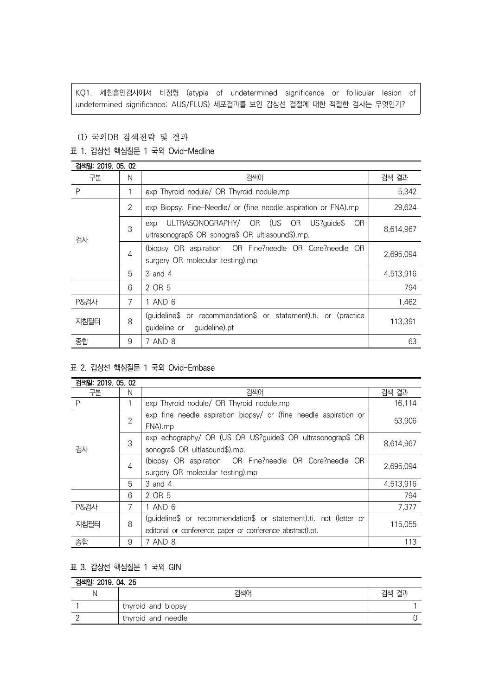KQ1. 세침흡인검사에서 비정형 (atypia of undetermined significance or follicular lesion of undetermined significance; AUS/FLUS) 세포결과를 보인 갑상선 결절에 대한 적절한 검사는 무엇인가?

### (1) 국외DB 검색전략 및 결과

## 표 1. 갑상선 핵심질문 1 국외 Ovid-Medline

| 검색일: 2019, 05, 02 |                |                                                                                                             |           |
|-------------------|----------------|-------------------------------------------------------------------------------------------------------------|-----------|
| 구분                | N              | 검색어                                                                                                         | 검색 결과     |
| P                 |                | exp Thyroid nodule/ OR Thyroid nodule, mp                                                                   | 5,342     |
| 검사                | $\overline{2}$ | exp Biopsy, Fine-Needle/ or (fine needle aspiration or FNA).mp                                              | 29,624    |
|                   | 3              | ULTRASONOGRAPHY/ OR (US OR<br>OR.<br>US?quide\$<br>exp<br>ultrasonograp\$ OR sonogra\$ OR ultlasound\$).mp. | 8,614,967 |
|                   | $\overline{4}$ | (biopsy OR aspiration OR Fine?needle OR Core?needle OR<br>surgery OR molecular testing).mp                  | 2,695,094 |
|                   | 5              | 3 and 4                                                                                                     | 4,513,916 |
|                   | 6              | 2 OR 5                                                                                                      | 794       |
| <b>P&amp;검사</b>   | 7              | 1 AND 6                                                                                                     | 1,462     |
| 지침필터              | 8              | (guideline\$ or recommendation\$ or statement).ti. or (practice<br>guideline).pt<br>quideline or            | 113,391   |
| 종합                | 9              | 7 AND 8                                                                                                     | 63        |

# 표 2. 갑상선 핵심질문 1 국외 Ovid-Embase

| 검색일: 2019, 05, 02 |                |                                                                   |           |  |
|-------------------|----------------|-------------------------------------------------------------------|-----------|--|
| 구분                | N              | 검색어                                                               | 검색 결과     |  |
| P                 |                | exp Thyroid nodule/ OR Thyroid nodule.mp                          | 16,114    |  |
| 검사                | $\overline{2}$ | exp fine needle aspiration biopsy/ or (fine needle aspiration or  | 53,906    |  |
|                   |                | FNA).mp                                                           |           |  |
|                   | 3              | exp echography/ OR (US OR US?guide\$ OR ultrasonograp\$ OR        | 8,614,967 |  |
|                   |                | sonogra\$ OR ultlasound\$).mp.                                    |           |  |
|                   | 4              | (biopsy OR aspiration OR Fine?needle OR Core?needle OR            | 2.695.094 |  |
|                   |                | surgery OR molecular testing).mp                                  |           |  |
|                   | 5              | 3 and 4                                                           | 4,513,916 |  |
|                   | 6              | 2 OR 5                                                            | 794       |  |
| <b>P&amp;검사</b>   | 7              | 1 AND 6                                                           | 7,377     |  |
| 지침필터              | 8              | (quideline\$ or recommendation\$ or statement).ti. not (letter or |           |  |
|                   |                | editorial or conference paper or conference abstract).pt.         | 115.055   |  |
| 종합                | 9              | 7 AND 8                                                           | 113       |  |

# 표 3. 갑상선 핵심질문 1 국외 GIN

# 검색일: 2019. 04. 25

| 검색어                | 검색 결과 |
|--------------------|-------|
| thyroid and biopsy |       |
| thyroid and needle |       |